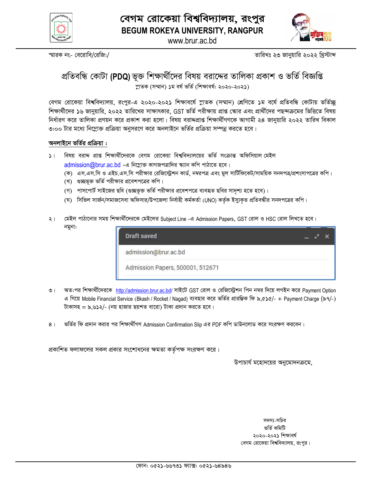

www.brur.ac.bd

স্মারক নং- বেরোবি/রেজি:/

তারিখঃ ২৩ জানুয়ারি ২০২২ খ্রিস্টাব্দ

# প্রতিবন্ধি কোটা (PDQ)ভূক্ত শিক্ষার্থীদের বিষয় বরাদ্দের তালিকা প্রকাশ ও ভর্তি বিজ্ঞপ্তি স্নাতক (সম্মান) ১ম বৰ্ষ ভৰ্তি (শিক্ষাবৰ্ষ: ২০২০-২০২১)

বেগম রোকেয়া বিশ্ববিদ্যালয়, রংপুর-এ ২০২০-২০২১ শিক্ষাবর্ষে স্নাতক (সম্মান) শ্রেণিতে ১ম বর্ষে প্রতিবন্ধি কোটায় ভর্তিচ্ছ শিক্ষার্থীদের ১৬ জানুয়ারি, ২০২২ তারিখের সাক্ষাৎকার, GST ভর্তি পরীক্ষায় প্রাপ্ত স্কোর এবং প্রার্থীদের পছন্দক্রমের ভিত্তিতে বিষয় নির্ধারণ করে তালিকা প্রণয়ন করে প্রকাশ করা হলো। বিষয় বরাদ্দপ্রাপ্ত শিক্ষার্থীগণকে আগামী ২৪ জানুয়ারি ২০২২ তারিখ বিকাল ৩:০০ টার মধ্যে নিম্লোক্ত প্রক্রিয়া অনুসরণে করে অনলাইনে ভর্তির প্রক্রিয়া সম্পন্ন করতে হবে।

#### অনলাইনে ভর্তির প্রক্রিয়া :

- ১। বিষয় বরাদ্দ প্রাপ্ত শিক্ষার্থীদেরকে বেগম রোকেয়া বিশ্ববিদ্যালয়ের ভর্তি সংক্রান্ত অফিসিয়াল মেইল admission@brur.ac.bd - এ নিম্নোক্ত কাগজপত্রাদির স্ক্যান কপি পাঠাতে হবে।
	- (ক) এস.এস.সি ও এইচ.এস.সি পরীক্ষার রেজিস্ট্রেশন কার্ড, নম্বরপত্র এবং মুল সার্টিফিকেট/সাময়িক সনদপত্র/প্রশংসাপত্রের কপি।
	- (খ) গুচ্ছভূক্ত ভর্তি পরীক্ষার প্রবেশপত্রের কপি।
	- (গ) পাসপোর্ট সাইজের ছবি (গুচ্ছভূক্ত ভর্তি পরীক্ষার প্রবেশপত্রে ব্যবহৃত ছবির সাদৃশ্য হতে হবে)।
	- (ঘ) সিভিল সার্জন/সমাজসেবা অফিসার/উপজেলা নির্বাহী কর্মকর্তা (UNO) কর্তৃক ইস্যুকৃত প্রতিবন্ধীর সনদপত্রের কপি।
- মেইল পাঠানোর সময় শিক্ষার্থীদেরকে মেইলের Subject Line -এ Admission Papers, GST রোল ও HSC রোল লিখতে হবে।  $\ddot{z}$ নমুনা:

- অত:পর শিক্ষার্থীদেরকে http://admission.brur.ac.bd/ সাইটে GST রোল ও রেজিস্ট্রেশন পিন নম্বর দিয়ে লগইন করে Payment Option  $\overline{O}$  | এ গিয়ে Mobile Financial Service (Bkash / Rocket / Nagad) ব্যবহার করে ভর্তির প্রারম্ভিক ফি ৯,৫১৫/- + Payment Charge (৯৭/-) টাকাসহ = ৯,৬১২/- (নয় হাজার ছয়শত বারো) টাকা প্রদান করতে হবে।
- ভর্তির ফি প্রদান করার পর শিক্ষার্থীগণ Admission Confirmation Slip এর PDF কপি ডাউনলোড করে সংরক্ষণ করবেন।  $8<sup>1</sup>$

প্রকাশিত ফলাফলের সকল প্রকার সংশোধনের ক্ষমতা কর্তৃপক্ষ সংরক্ষণ করে।

উপাচার্য মহোদয়ের অনুমোদনক্রমে,

সদস্য-সচিব ভৰ্তি কমিটি ২০২০-২০২১ শিক্ষাবর্ষ বেগম রোকেয়া বিশবিদ্যালয়, রংপুর।